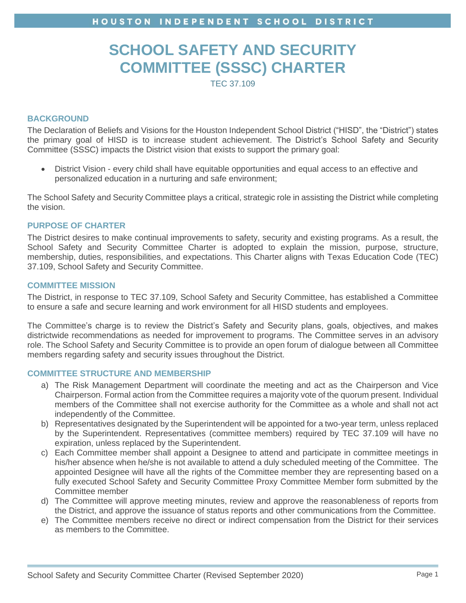# **SCHOOL SAFETY AND SECURITY COMMITTEE (SSSC) CHARTER**

TEC 37.109

### **BACKGROUND**

The Declaration of Beliefs and Visions for the Houston Independent School District ("HISD", the "District") states the primary goal of HISD is to increase student achievement. The District's School Safety and Security Committee (SSSC) impacts the District vision that exists to support the primary goal:

• District Vision - every child shall have equitable opportunities and equal access to an effective and personalized education in a nurturing and safe environment;

The School Safety and Security Committee plays a critical, strategic role in assisting the District while completing the vision.

## **PURPOSE OF CHARTER**

The District desires to make continual improvements to safety, security and existing programs. As a result, the School Safety and Security Committee Charter is adopted to explain the mission, purpose, structure, membership, duties, responsibilities, and expectations. This Charter aligns with Texas Education Code (TEC) 37.109, School Safety and Security Committee.

### **COMMITTEE MISSION**

The District, in response to TEC 37.109, School Safety and Security Committee, has established a Committee to ensure a safe and secure learning and work environment for all HISD students and employees.

The Committee's charge is to review the District's Safety and Security plans, goals, objectives, and makes districtwide recommendations as needed for improvement to programs. The Committee serves in an advisory role. The School Safety and Security Committee is to provide an open forum of dialogue between all Committee members regarding safety and security issues throughout the District.

#### **COMMITTEE STRUCTURE AND MEMBERSHIP**

- a) The Risk Management Department will coordinate the meeting and act as the Chairperson and Vice Chairperson. Formal action from the Committee requires a majority vote of the quorum present. Individual members of the Committee shall not exercise authority for the Committee as a whole and shall not act independently of the Committee.
- b) Representatives designated by the Superintendent will be appointed for a two-year term, unless replaced by the Superintendent. Representatives (committee members) required by TEC 37.109 will have no expiration, unless replaced by the Superintendent.
- c) Each Committee member shall appoint a Designee to attend and participate in committee meetings in his/her absence when he/she is not available to attend a duly scheduled meeting of the Committee. The appointed Designee will have all the rights of the Committee member they are representing based on a fully executed School Safety and Security Committee Proxy Committee Member form submitted by the Committee member
- d) The Committee will approve meeting minutes, review and approve the reasonableness of reports from the District, and approve the issuance of status reports and other communications from the Committee.
- e) The Committee members receive no direct or indirect compensation from the District for their services as members to the Committee.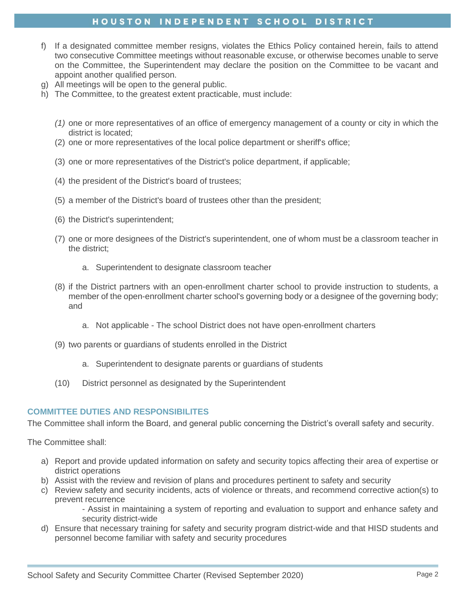# HOUSTON INDEPENDENT SCHOOL DISTRICT

- f) If a designated committee member resigns, violates the Ethics Policy contained herein, fails to attend two consecutive Committee meetings without reasonable excuse, or otherwise becomes unable to serve on the Committee, the Superintendent may declare the position on the Committee to be vacant and appoint another qualified person.
- g) All meetings will be open to the general public.
- h) The Committee, to the greatest extent practicable, must include:
	- *(1)* one or more representatives of an office of emergency management of a county or city in which the district is located;
	- (2) one or more representatives of the local police department or sheriff's office;
	- (3) one or more representatives of the District's police department, if applicable;
	- (4) the president of the District's board of trustees;
	- (5) a member of the District's board of trustees other than the president;
	- (6) the District's superintendent;
	- (7) one or more designees of the District's superintendent, one of whom must be a classroom teacher in the district;
		- a. Superintendent to designate classroom teacher
	- (8) if the District partners with an open-enrollment charter school to provide instruction to students, a member of the open-enrollment charter school's governing body or a designee of the governing body; and
		- a. Not applicable The school District does not have open-enrollment charters
	- (9) two parents or guardians of students enrolled in the District
		- a. Superintendent to designate parents or guardians of students
	- (10) District personnel as designated by the Superintendent

## **COMMITTEE DUTIES AND RESPONSIBILITES**

The Committee shall inform the Board, and general public concerning the District's overall safety and security.

The Committee shall:

- a) Report and provide updated information on safety and security topics affecting their area of expertise or district operations
- b) Assist with the review and revision of plans and procedures pertinent to safety and security
- c) Review safety and security incidents, acts of violence or threats, and recommend corrective action(s) to prevent recurrence

- Assist in maintaining a system of reporting and evaluation to support and enhance safety and security district-wide

d) Ensure that necessary training for safety and security program district-wide and that HISD students and personnel become familiar with safety and security procedures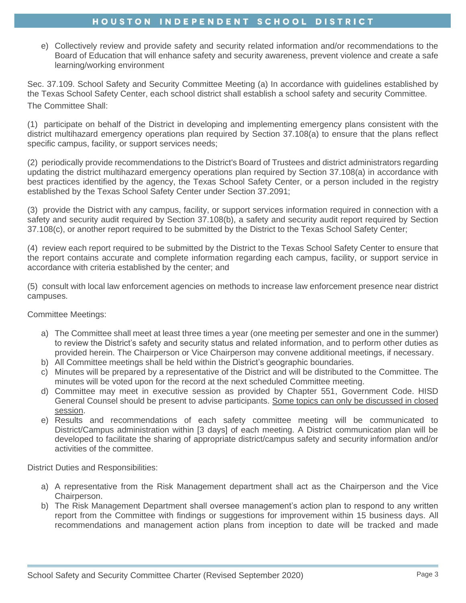# HOUSTON INDEPENDENT SCHOOL DISTRICT

e) Collectively review and provide safety and security related information and/or recommendations to the Board of Education that will enhance safety and security awareness, prevent violence and create a safe learning/working environment

Sec. 37.109. School Safety and Security Committee Meeting (a) In accordance with guidelines established by the Texas School Safety Center, each school district shall establish a school safety and security Committee. The Committee Shall:

(1) participate on behalf of the District in developing and implementing emergency plans consistent with the district multihazard emergency operations plan required by Section 37.108(a) to ensure that the plans reflect specific campus, facility, or support services needs;

(2) periodically provide recommendations to the District's Board of Trustees and district administrators regarding updating the district multihazard emergency operations plan required by Section 37.108(a) in accordance with best practices identified by the agency, the Texas School Safety Center, or a person included in the registry established by the Texas School Safety Center under Section 37.2091;

(3) provide the District with any campus, facility, or support services information required in connection with a safety and security audit required by Section 37.108(b), a safety and security audit report required by Section 37.108(c), or another report required to be submitted by the District to the Texas School Safety Center;

(4) review each report required to be submitted by the District to the Texas School Safety Center to ensure that the report contains accurate and complete information regarding each campus, facility, or support service in accordance with criteria established by the center; and

(5) consult with local law enforcement agencies on methods to increase law enforcement presence near district campuses.

Committee Meetings:

- a) The Committee shall meet at least three times a year (one meeting per semester and one in the summer) to review the District's safety and security status and related information, and to perform other duties as provided herein. The Chairperson or Vice Chairperson may convene additional meetings, if necessary.
- b) All Committee meetings shall be held within the District's geographic boundaries.
- c) Minutes will be prepared by a representative of the District and will be distributed to the Committee. The minutes will be voted upon for the record at the next scheduled Committee meeting.
- d) Committee may meet in executive session as provided by Chapter 551, Government Code. HISD General Counsel should be present to advise participants. Some topics can only be discussed in closed session.
- e) Results and recommendations of each safety committee meeting will be communicated to District/Campus administration within [3 days] of each meeting. A District communication plan will be developed to facilitate the sharing of appropriate district/campus safety and security information and/or activities of the committee.

District Duties and Responsibilities:

- a) A representative from the Risk Management department shall act as the Chairperson and the Vice Chairperson.
- b) The Risk Management Department shall oversee management's action plan to respond to any written report from the Committee with findings or suggestions for improvement within 15 business days. All recommendations and management action plans from inception to date will be tracked and made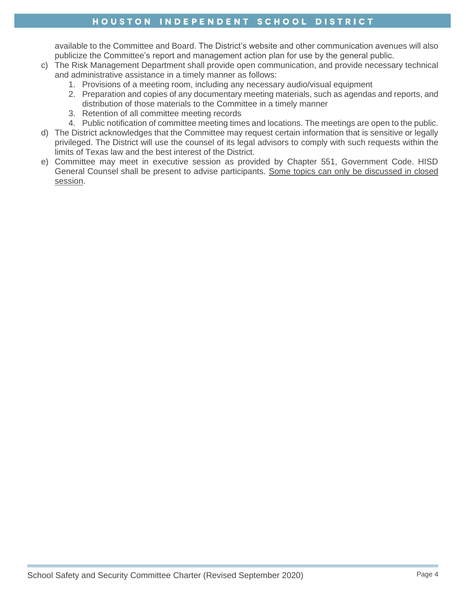# HOUSTON INDEPENDENT SCHOOL DISTRICT

available to the Committee and Board. The District's website and other communication avenues will also publicize the Committee's report and management action plan for use by the general public.

- c) The Risk Management Department shall provide open communication, and provide necessary technical and administrative assistance in a timely manner as follows:
	- 1. Provisions of a meeting room, including any necessary audio/visual equipment
	- 2. Preparation and copies of any documentary meeting materials, such as agendas and reports, and distribution of those materials to the Committee in a timely manner
	- 3. Retention of all committee meeting records
	- 4. Public notification of committee meeting times and locations. The meetings are open to the public.
- d) The District acknowledges that the Committee may request certain information that is sensitive or legally privileged. The District will use the counsel of its legal advisors to comply with such requests within the limits of Texas law and the best interest of the District.
- e) Committee may meet in executive session as provided by Chapter 551, Government Code. HISD General Counsel shall be present to advise participants. Some topics can only be discussed in closed session.